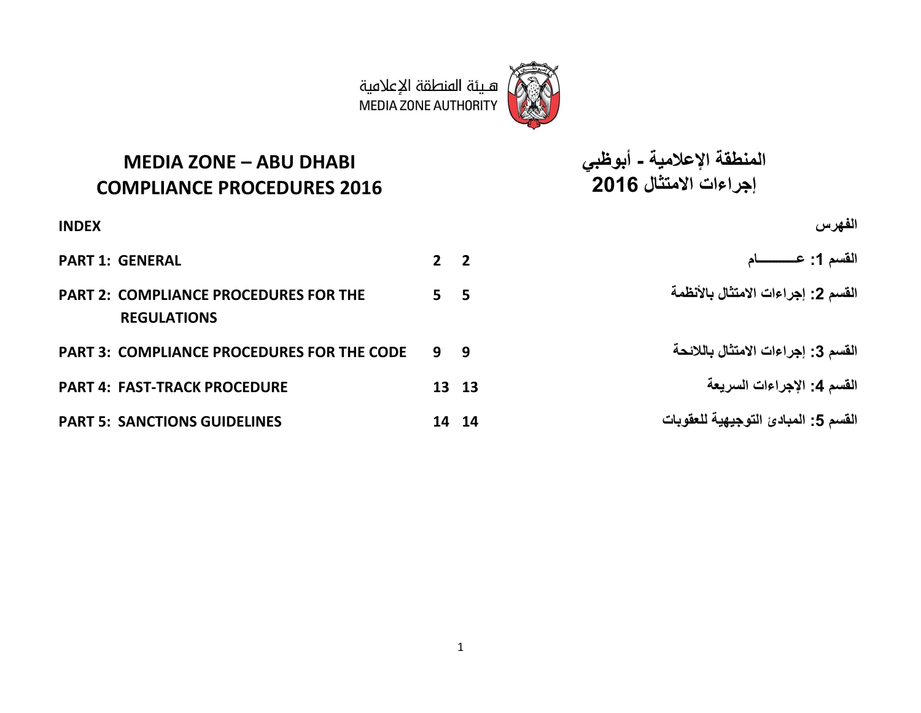

هـيئة المنطقة الإعلامية **MEDIA ZONE AUTHORITY** 

**MEDIA ZONE – ABU DHABI COMPLIANCE PROCEDURES 2016**

**الفهرس INDEX القسم :1 عــــــــــــام 2 2 GENERAL 1: PART PART 2: COMPLIANCE PROCEDURES FOR THE REGULATIONS PART 3: COMPLIANCE PROCEDURES FOR THE CODE 9 9 بالالئحة االمتثال إجراءات :3 القسم PART 4: FAST-TRACK PROCEDURE 13 13 السريعة اإلجراءات :4 القسم القسم :5 المبادئ التوجيهية للعقوبات 14 14 GUIDELINES SANCTIONS 5: PART**

**المنطقة اإلعالمية - أبوظبي إجراءات االمتثال 2016**

**القسم :2 إجراءات االمتثال باألنظمة 5 5**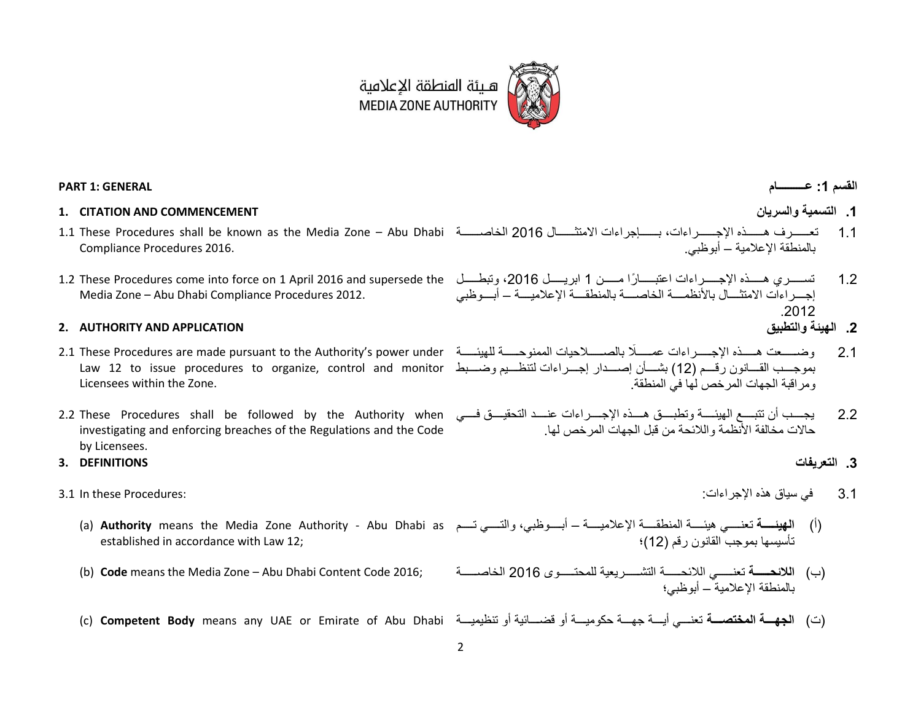

### **القسم :1 عــــــــــام GENERAL 1: PART**

### **1. CITATION AND COMMENCEMENT والسريان التسمية .1**

- 1.1 These Procedures shall be known as the Media Zone Abu Dhabi 1.1 تعرررررررررر هررررررررررت رررررررررر ، بررررررررررم ت رررررررررر 2016 لخ صرررررررررر Compliance Procedures 2016.
- Media Zone Abu Dhabi Compliance Procedures 2012.

### **2. AUTHORITY AND APPLICATION والتطبيق الهيئة .2**

- بموجـــب القــــانون رقـــم (12) بشــــأن إصــــدار إجـــراءات لتنظـــيم وضـــبط Law 12 to issue procedures to organize, control and monitor Licensees within the Zone.
- 2.2 These Procedures shall be followed by the Authority when investigating and enforcing breaches of the Regulations and the Code by Licensees.
- **.3 التعريفات DEFINITIONS 3.**
- - established in accordance with Law 12;
	-
	- (ت) الجهسة المختصسة تعنسي أيسة جهسة حكوميسة أو قضسائية أو تنظيميسة C) C**ompetent Body** means any UAE or Emirate of Abu Dhabi وتنظيميسة أو تنظيميسة المسلمة المسلمة المسلمة
- 
- بالمنطقة الإعلامية أبو ظبي
- 1.2 تســـــري هـــــذه الإجـــــراءات اعتبـــــارًا مـــــن 1 ابريـــــل 2016، وتبطــــل 1.2 These Procedures come into force on 1 April 2016 and supersede the إجــــر اءاّت الامتثــــال بالأنظمـــــة الخاصـــــة بالمنطقــــة الإعلاميـــــة – أبــــوظبي .2012
	-
- 2.1 وضـــــعت هـــــذه الإجـــــراءات عمــــلًا بالصـــــلاحيات الممنوحـــــة للهيئـــــة اللهيئــــــة و مر اقبة الجهات المر خص لها في المنطقة.
	- 2.2 يجـــب أن تتبـــع الميئــــة وتطبـــق هـــذه الإجــــراءات عنــــد التحقيـــق فــــي مخالفة الأنظمة واللائحة من قبل الجهات المرخص لها.

- 1.1 في سي هت : :Procedures these In 3.1
	- (أ) ا**لهيئسة** تعنــــي هيئــــة المنطقــــة الإعلاميــــة أبــــوظبي، والتــــي تـــم a) **Authority** means the Media Zone Authority Abu Dhabi as تأسيسها بموجب القانون رقم (12)؛
	- (ب) اللائحــــة تعنـــــى اللائحــــة التشــــريعية للمحتــــوى 2016 للخاصــــة (2016 neans the Media Zone Abu Dhabi Content Code 2016; بالمنطقة الإعلامية – أبوظبي؛
		-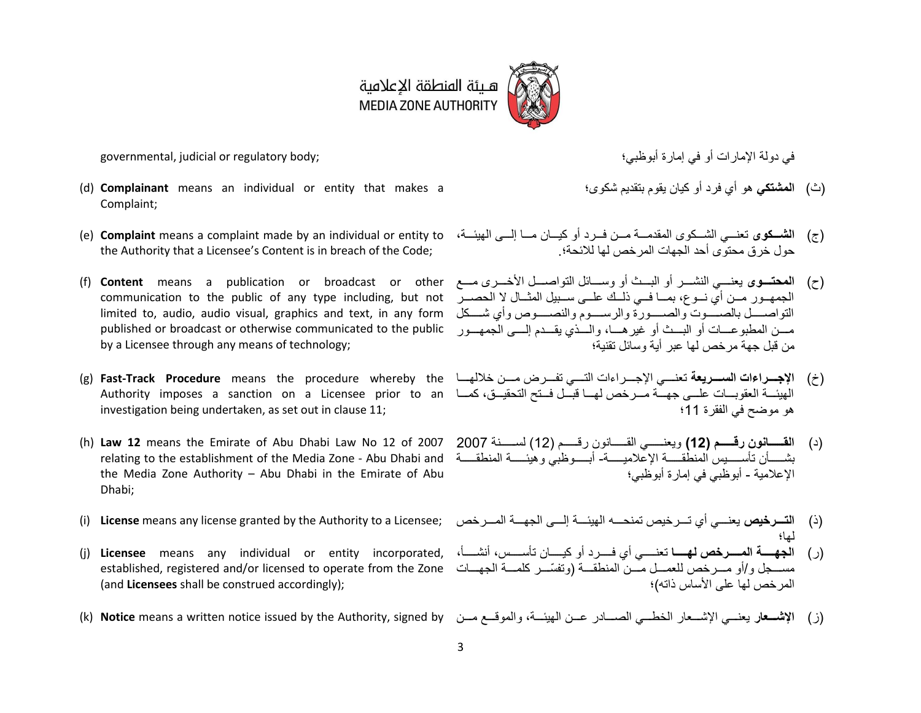

في رول أو في إ ة أبوظبي؛ ;body regulatory or judicial ,governmental

- (d) **Complainant** means an individual or entity that makes a Complaint;
- the Authority that a Licensee's Content is in breach of the Code;
- communication to the public of any type including, but not الحصدر للحصدر لله تلبي المثل له الحصدر من أي نسوع، التواصـــــل بالصـــــوت والصـــــورة والرســــوم والنصــــوص وأي شــــكل Iimited to, audio, audio visual, graphics and text, in any form published or broadcast or otherwise communicated to the public by a Licensee through any means of technology;
- (خ) الإ**جــر**اءات الســـريعة تعنـــي الإجـــرراءات التـــي تفـــرض مـــن خلالهـــا g) **Fast-Track Procedure** means the procedure whereby the لغالهمـــا te الهيئـــة العقوبـــات علـــي جهـــة مـــرخص لهـــا قبـــل فـــتح التحقيـــق، كمـــا Authority imposes a sanction on a Licensee prior to an لهـــا قبـــل فــتح التحقيـــق، كمـــا an investigation being undertaken, as set out in claus[e 11;](#page-12-0)
- (h) **Law 12** means the Emirate of Abu Dhabi Law No 12 of 2007 بشــــــــان تأســــــيس المنطقــــــة الإعلاميــــــة- أبــــــوظبي وهيئـــــة المنطقـــــة Inding to the establishment of the Media Zone - Abu Dhabi and the Media Zone Authority – Abu Dhabi in the Emirate of Abu Dhabi;
- 
- مســـجل و/أو مـــرخص للعمـــل مـــن المنطقـــة (وتفسّـــر كلمـــة الجهـــات established, registered and/or licensed to operate from the Zone (and **Licensees** shall be construed accordingly);
- 

- (ث) ا**لمشتكي** هو أي فر د أو كيان يقوم بتقديم شكو ي؛
- (ج) **الشـــكوى** تعنـــي الشــكوى المقدمـــة مـــن فــرد أو كيـــان مـــا إلــــي الهيئـــة، (e) **Complaint** means a complaint made by an individual or entity to حول خر ق محتو $\,$ ى أحد الجهات المر خص لها للائحة؛
- (ح) **المحتـــو**ى يعنــــي النشــــر أو البـــث أو وســــائل التواصــــل الأخــــرى مـــع f) Content means a publication or broadcast or other مسن المطبوعسات أو البسث أو غير هسا، والسذي يقسدم إلسبي الجمهسور من قبل جهة مر خص لها عبر أية وسائل تقنية؛
	- هو موضح في الفقر ة 11؛
	- )د( **القةةةةةةةةانون ر ةةةةةةةةم 12(** ويعنرررررررري لقرررررررر نو رررررررر 12( لسررررررررن 2007 الإعلامية - أبوظبي في إمار ة أبوظبي؛
- (ذ) ا**لتـــرخيص** يعنـــي أي تـــرخيص تمنحــــه الهيئـــة إلـــي الجهـــة المـــرخص ;) License means any license granted by the Authority to a Licensee; لها؛
- (ر) ا**لجهــــة المــــرخص لهـــــا** تعنـــــي أي فــــرد أو كيــــان تأســــس، أنشــــأ، **(j) Licensee** means any individual or entity incorporated, أشــــان تأســــس، أنشــــأ، (j) المر خص لها على الأساس ذاته)؛
- (ز) **الإشــعار** يعنـــي الإشـــعار الخطـــي الصــــادر عــن الهيئـــة، والموقـــع مـــن (k) Notice means a written notice issued by the Authority, signed by مـــن الموقـــع مـــن (k)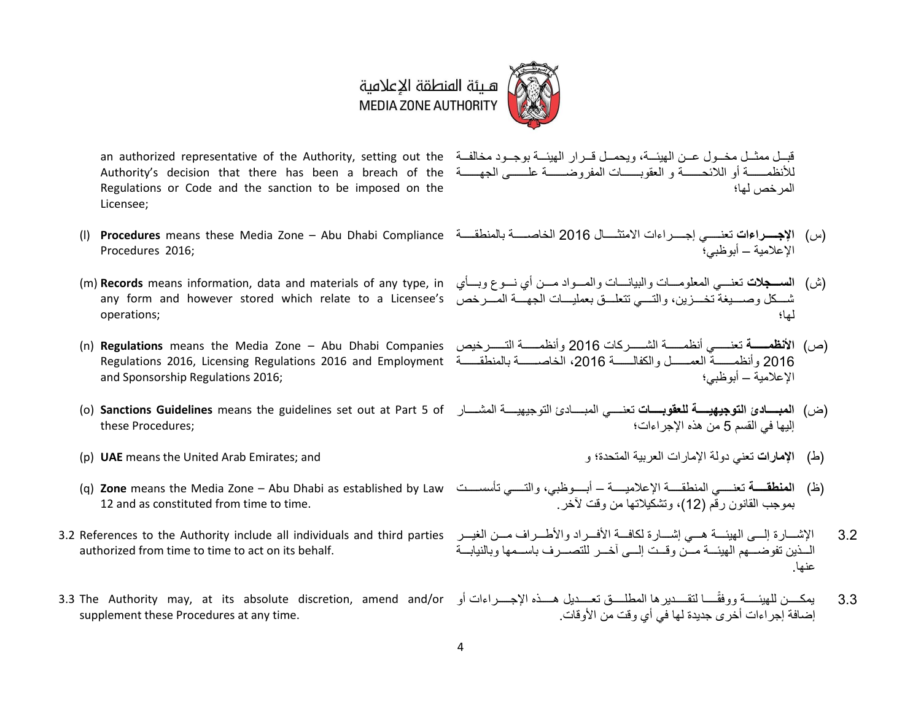

Authority's decision that there has been a breach of the لألنظ رررررررررر أو لال رررررررررر و لعقوبرررررررررر ل ف وضرررررررررر ع رررررررررر، ل رررررررررر Regulations or Code and the sanction to be imposed on the Licensee;

- Procedures 2016;
- any form and however stored which relate to a Licensee's أصررخص من المسرر بن يرمسيغة تخسرين، والتسي تتعلــق بعمليـــات الجهـــة المسررخص any form and however stored which relate to a Licensee's operations;
- and Sponsorship Regulations 2016;
- these Procedures;
- 
- 12 and as constituted from time to time.
- authorized from time to time to act on its behalf.
- supplement these Procedures at any time.

an authorized representative of the Authority, setting out the حَالف عـن الهيئــة، ويحمــل قــرار الهيئــة بوجــود مخالفــة an authorized representative of the Authority, setting out the المر خص لها؛

- (س) الإجــــراءات تعنـــــى إجـــــرراءات الامتثــــال 2016 الخاصـــــة بالمنطقــــة P**rocedures** means these Media Zone Abu Dhabi Compliance (اس) الإعلامية – أبو ظبي؛
- (ش) ا**لســـجلات** تعنـــي المعلومـــات واللبيانــــات والمـــواد مــــن أي نـــوع وبــــأي (m) **Records** means information, data and materials of any type, in لها؛
- (ص) ا**لأنظمـــــة** تعنــــــي أنظمـــــة الشــــــركات 2016 وأنظمـــــة التــــــررخيص n) **Regulations** means the Media Zone Abu Dhabi Companies وأنظمـــــة النشــــرركات 2016 وأنظمـــــة الت 2016 وأنظمــــــة العمــــــل والكفالـــــــة 2016، الخاصـــــــة بالمنطقـــــة Regulations 2016, Licensing Regulations 2016 and Employment الإعلامية – أبو ظبي؛
- (ض) ا**لمبـــــادئ التوجيهيـــــة للعقوبـــــات** تعنـــــى المبـــــادئ التوجيهيــــة المشــــار o) **Sanctions Guidelines** means the guidelines set out at Part 5 of إليها في القسم 5 من هذه الإجر اءات؛
- )ط( **اإلمارات** تعني رول لع بي ل ت رة؛ و and; Emirates Arab United the means **UAE**) p(
- (ظ) ا**لمنطقــــة** تعنـــــى المنطقــــة الإعلاميــــة أبــــوظبي، والتـــــى تأسســـت Q) **Zone** means the Media Zone Abu Dhabi as established by Law بمو جب القانون ر قَم (12)، وتشكيلاتها من و قت لآخر .
- 3.2 References to the Authority include all individuals and third parties 1.2 شررررر ة إلررررر، ل ي ررررر هررررري إشررررر ة لو فررررر ألفررررر ر و ألطررررر ررررر لليررررر الــذين تفوضـــهم الـهيئـــة مـــز، و قـــت إلــــى آخـــر للتصــــر ف باســـمها و بالنيابـــة عنها.
- 3.3 يمكــــن للهيئـــــة ووفقَــــا لتقــــديرها المطلــــق تعــــديل هــــذه الإجــــراءات أو 3.1 The Authority may, at its absolute discretion, amend and/or إضافة إجراءات أخر ي جديدة لها في أي وقت من الأوقات.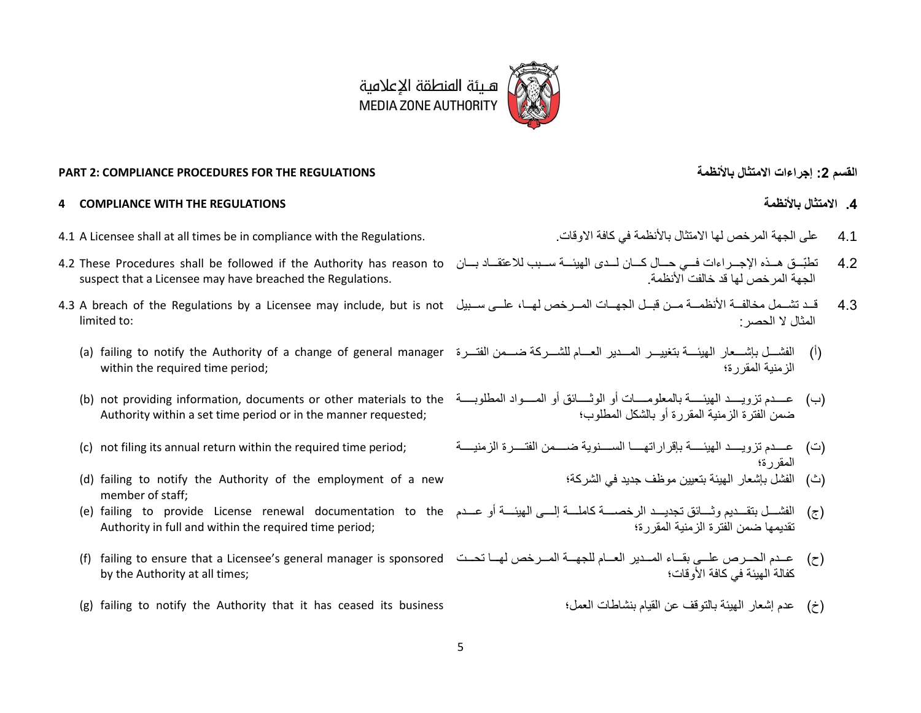

### **PART 2: COMPLIANCE PROCEDURES FOR THE REGULATIONS باألنظمة االمتثال إجراءات :2 القسم**

### **4 COMPLIANCE WITH THE REGULATIONS باألنظمة االمتثال .4**

- 4.1 ع ، ل ل خص ل ت ب ألنظ في و ف و . .Regulations the with compliance in be times all at shall Licensee A 4.1
- 4.2 تطبّــق هــذه الإجــراءات فــي حـــال كـــان لــدى الهيئـــة ســـبب للاعتقـــاد بـــان 4.2 These Procedures shall be followed if the Authority has reason to suspect that a Licensee may have breached the Regulations.
- limited to:
	- (i) الفشـــل بإشـــعار المهيئـــة بتغييـــر المــــدير العــــام للشــــركة ضــــمن الفتــــررة (a) failing to notify the Authority of a change of general manager within the required time period;
	- Authority within a set time period or in the manner requested;
	-
	- (d) failing to notify the Authority of the employment of a new member of staff;
	- (e) failing to provide License renewal documentation to the Authority in full and within the required time period;
	- (ح) عــدم الحــرص علــي بقــاء المــدير العــام للجهـــة المــرخص لهــا تحــت f) failing to ensure that a Licensee's general manager is sponsored by the Authority at all times;
	- )خ( عر إشع ل ي ب لتو ع لقي بنش ط لع ؛ business its ceased has it that Authority the notify to failing) g(

- 
- الجهة المر خص لها قد خالفت الأنظمة .
- 4.3 قــد تشــمل مخالفــة الأنظمــة مــن قبــل الجهــات المــرخص لهــا، علــى ســبيل 4.3 A breach of the Regulations by a Licensee may include, but is not المثال لا الحصر :
	- الز منبة المقر ر ة؛
	- (ب) عـــدم تزويــــد الـهيئـــــة بالمعلومــــات أو الوثــــائق أو المــــواد المطلوبـــــة (b) not providing information, documents or other materials to the ضمن الفتر ة الز منية المقر ر ة أو بالشكل المطلوب؛
	- (ت) عـــدم تزويــــد الهيئــــة بإقراراتهـــــا الســــنوية ضــــمن الفتــــرة الزمنيــــة (رمنيســة باقراراته المقررة؛
		- (ث) الفشل بإشعار الهيئة بتعيين موظف جديد في الشركة؛
		- (ج) الفشـــل بتقـــديم وثــــائق تجديـــد الرخصــــة كاملــــة إلــــى الـهيئــــة أو عـــدم تقديمها ضمن الفترة الزمنية المقررة؛
			- كفالة الـهيئة في كافة الأو قات؛
				-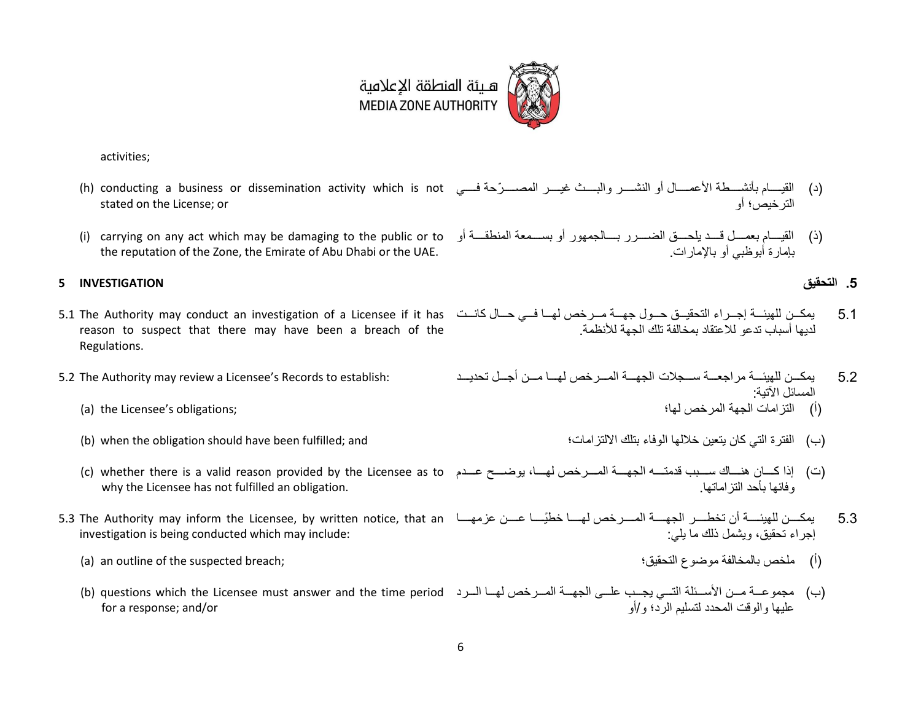

activities;

- (د) القيـــــام بأنشــــطة الأعمــــال أو النشـــــر والبــــث غيــــر المصــــرّحة فــــي In) conducting a business or dissemination activity which is not stated on the License; or لت خيص؛ أو
- (ذ) القيــــام بعمــــل قــــد يلحــــق الضـــــرر بــــالجمهور أو بســـمعة المنطقــــة أو carrying on any act which may be damaging to the public or to (i) the reputation of the Zone, the Emirate of Abu Dhabi or the UAE.

### <span id="page-5-0"></span>**.5 التحقيق INVESTIGATION 5**

- 5.1 يمكــن للهيئـــة إجــراء التحقيــق حــول جهـــة مــرخص لهـــا فـــى حــال كانـــت 5.1 The Authority may conduct an investigation of a Licensee if it has reason to suspect that there may have been a breach of the Regulations.
- - (i) ألتز امات الجهة المر خص لها؛ (a) the Licensee's obligations; (i)
	- )ب( لفت ة لتي و يتعي خالل لوف بت ر لتع ؛ and; fulfilled been have should obligation the when) b(
	- (ت) إذا كـــان هنـــاك ســـبب قدمتـــه الجهــــة المـــرخص لهـــا، يوضــــح عـــدم c) whether there is a valid reason provided by the Licensee as to why the Licensee has not fulfilled an obligation. و فائـها بـأحد التز امـاتـها
- 5.3 يمكـــن للهيئــــة أن تخطـــر الجهــــة المــــرخص لهــــا خطيّــــا عـــن عزمهــــا 5.1 The Authority may inform the Licensee, by written notice, that an investigation is being conducted which may include:
	- )أ( خص ب ل خ لف وضوك لت قي ؛ ;breach suspected the of outline an) a(
	- for a response; and/or

بـامار ة أبوظبـي أو بـالإمـار ات

- لديها أسباب ندعو للاعتقاد بمخالفة تلك الحمة للأنظمة
- 5.2 ي ورررر ل ي رررر عرررر سرررر ال ل رررر ل رررر خص ل رررر رررر أ رررر ت ريررررر :establish to Records s'Licensee a review may Authority The 5.2 المسائل الآتية·
	-
	-

- إجراء تحقيق، ويشمل ذلك ما يلي:
- (ب) مجموعــة مــن الأســئلة التــي يجــب علــي الجهــة المــرخص لهــا الــرد (b) questions which the Licensee must answer and the time period علامها و الو قت المحدد لتسليم الربّ و /أو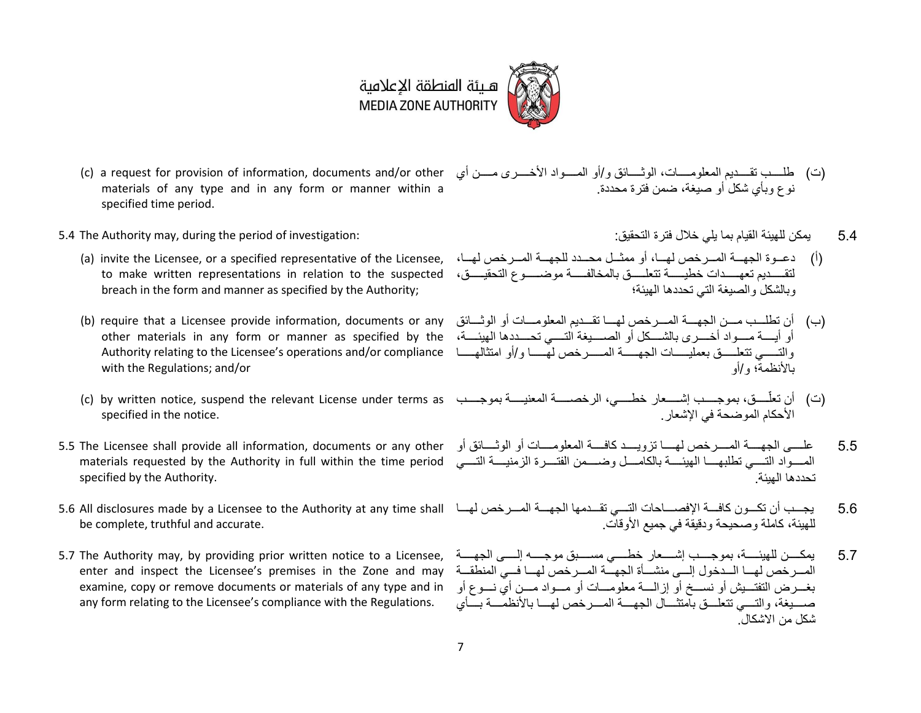

- (c) a request for provision of information, documents and/or other materials of any type and in any form or manner within a specified time period.
- 5.4 ي و ل ي لقي ب ي ي خال فت ة لت قي : :investigation of period the during ,may Authority The 5.4
	- لتقــــــديم تعهــــــدات خطيســــة تتعلـــــــق بالمخالفــــــة موضــــــوع التحقيـــــق، to make written representations in relation to the suspected breach in the form and manner as specified by the Authority;
	- أو أيسة مسـواد أخسـرى بالشسـكل أو الصسـيغة التــــي تحسـددها الـهيئــــة، other materials in any form or manner as specified by the والتـــــي تتعلـــــق بعمليـــــات الجهــــــة المــــــرخص لهـــــا م Authority relating to the Licensee's operations and/or compliance with the Regulations; and/or
	- specified in the notice.
- المسـواد التــــي تطلبهـــــا الهيئـــــة بالكامــــل وضــــمن الفتــــرة الزمنيــــة التــــي materials requested by the Authority in full within the time period specified by the Authority.
- be complete, truthful and accurate.
- <span id="page-6-0"></span>5.7 The Authority may, by providing prior written notice to a Licensee, enter and inspect the Licensee's premises in the Zone and may examine, copy or remove documents or materials of any type and in any form relating to the Licensee's compliance with the Regulations.
- (ت) طلسب تقسديم المعلومســات، الوثـــــائق و/أو المســواد الأخـــــر ي مســـن أي نوع وبأي شكل أو صيغة، ضمن فتر ة محددة.
	-
- (أ) دعــوة الجهـــة المــرخص لهـــا، أو ممثــل محــدد للجهـــة المــررخص لهــا، (a) invite the Licensee, or a specified representative of the Licensee, ، في المسرح من الهــا، وبالشكل و الصيغة التي تحددها الهيئة؛
- (ب) أن تطلــب مـــن الجهــــة المــــرخص لهــــا تقـــديم المعلومــــات أو الوثــــائق (b) require that a Licensee provide information, documents or any بالأنظمة؛ و/أو
- (ت) أن تعلّـــــق، بموجـــــب إشـــــعار خطـــــي، الرخصـــــــة المعنيـــــة بموجــــب (c) by written notice, suspend the relevant License under terms as الأحكام الموضحة في الاشعار
- 5.5 The Licensee shall provide all information, documents or any other 5.5 ع رررررر، ل رررررر ل رررررر خص ل رررررر تعويررررررر و فرررررر ل ع و رررررر أو لو رررررر أو تحددها المئة
- 5.6 يجــب أن تكــون كافـــة الإفصــــاحات التـــي تقـــدمها الجهـــة المـــرخص لهـــا 5.16 All disclosures made by a Licensee to the Authority at any time shall يجــب أن تكـــون كافـــة الإفصــــاحات التـــي تقـ للهيئة، كاملة وصحيحة ودقيقة في جميع الأوقات.
	- 5.7 ي وررررررر ل ي ررررررر ، ب و رررررررن إشرررررررع خطررررررري سرررررررب و ررررررر إلررررررر، ل ررررررر المبر خص لهيا البدخول إلي منشيأة الجهيّة المبر خص لهيا في المنطقية بغـــرض التفتــــيش أو نســــخ أو إزالــــة معلومــــات أو مــــواد مــــن أي نــــوع أو صب يغة، و التسبي تتعليق بامتثـــال الجهسة المسر خص لهسـا بالأنظمـــة بــــأي شكل من الاشكال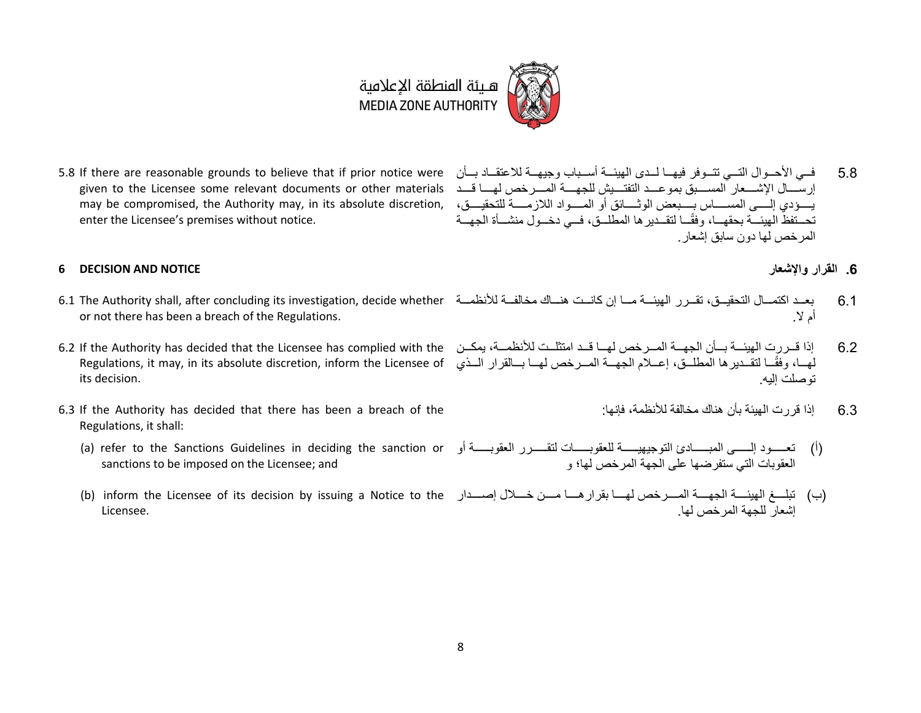# هــيئة المنطقة الإعلامية<br>MEDIA ZONE AUTHORITY

إرســــال الإشـــــعار المســــبق بموعـــد التفتــــيش للجهــــة المــــرخص لهــــا قـــد given to the Licensee some relevant documents or other materials بيسودي إلســي المســــــاس بــــبعض الوثـــــائق أو المســواد اللازمـــــة للتحقيــــق، ,may be compromised, the Authority may, in its absolute discretion enter the Licensee's premises without notice.

### **6 DECISION AND NOTICE واإلشعار القرار .6**

- 6.1 بعــد اكتمــال التحقيــق، تقــرر الـهيئــة مــا إن كانــت هنــاك مخالفــة للأنظمــة 6.1 The Authority shall, after concluding its investigation, decide whether or not there has been a breach of the Regulations.
- لهــا، وفقًــا لتقــديرها المطلــق، إعـــلام الجهـــة المـــرخص لهـــا بـــالقرار الـــذي Regulations, it may, in its absolute discretion, inform the Licensee of its decision.
- <span id="page-7-1"></span>6.3 If the Authority has decided that there has been a breach of the Regulations, it shall:
	- (a) refer to the Sanctions Guidelines in deciding the sanction or sanctions to be imposed on the Licensee; and
	- Licensee.
- <span id="page-7-0"></span>5.8 فسي الأحــوال التــي تتــوفر فيهــا لــدى الهيئـــة أســباب وجيهـــة للاعتقـــاد بـــأن 5.8 If there are reasonable grounds to believe that if prior notice were تحــتفظّ الهيئـــة بحقهـــا، وفقًـــا لتقــدير ها المطلــق، فـــى دخـــول منشـــأة الجهـــة المر خص لها دون سابق اشعار
	-
	- أم لا
- 6.2 إذا قــررت الهيئــة بــأن الجهــة المــرخص لهــا قــد امتثلــت للأنظمــة، يمكــن 6.2 If the Authority has decided that the Licensee has complied with the توصلت اليه
	- 6.3 اذا قر ر ت المبنة بأن هناك مخالفة للأنظمة، فانها
	- (أ) تعســود إلــــــى المبــــــادئ التوجيهيــــــة للعقوبـــــــــان لتقــــــرر العقوبــــــة أو العقوبات التي ستفرضها على الجهة المرخص لها؛ و
	- (ب) تبلـــغ الهيئــــة الجهــــة المــــرخص لهــــا بقرار هــــا مــــن خــــلال إصــــدار b) inform the Licensee of its decision by issuing a Notice to the اشعار للحهة المر خص لها.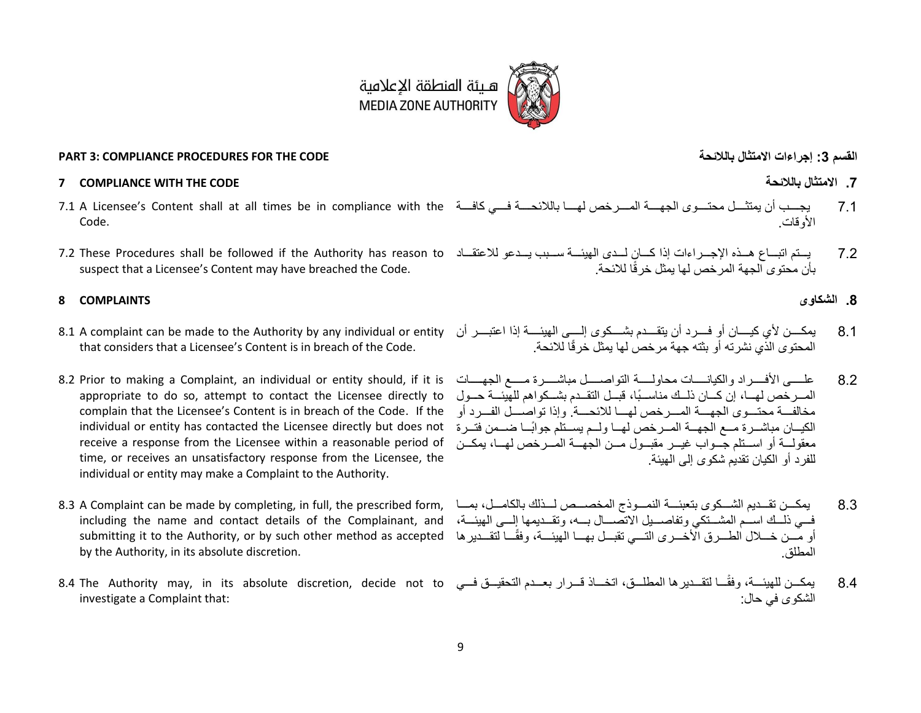

### **PART 3: COMPLIANCE PROCEDURES FOR THE CODE بالالئحة االمتثال إجراءات :3 القسم**

#### **7 COMPLIANCE WITH THE CODE بالالئحة االمتثال .7**

- Code.
- suspect that a Licensee's Content may have breached the Code.

### **.8 الشكاو COMPLAINTS 8**

- 8.1 A complaint can be made to the Authority by any individual or entity that considers that a Licensee's Content is in breach of the Code.
- appropriate to do so, attempt to contact the Licensee directly to complain that the Licensee's Content is in breach of the Code. If the الكيــان مباشــرة مــع الجهــة المــرخص لهــا ولــم يســتلم جوابًـــا ضـــمن فتــرة individual or entity has contacted the Licensee directly but does not receive a response from the Licensee within a reasonable period of time, or receives an unsatisfactory response from the Licensee, the individual or entity may make a Complaint to the Authority.
- فــي ذلـــك اســم المشـــتكي وتفاصـــيل الاتصــــال بـــه، وتقـــديمها إلـــي الهيئـــة، including the name and contact details of the Complainant, and او مُسن خسلال الطسررق الأخسرري التسمي تقبسل بهسا الهيئسة، وفقًــا لتقسدير ها submitting it to the Authority, or by such other method as accepted by the Authority, in its absolute discretion.
- investigate a Complaint that:

- 7.1 A Licensee's Content shall at all times be in compliance with the 7.1 ي ررررررن أ ي ت رررررر تررررررو ل رررررر ل رررررر خص ل رررررر ب لال رررررر فرررررري و فرررررر الأو قات
- 7.2 يــتم اتبــاع هــذه الإجــرراءات إذا كــان لــدى الهيئـــة ســبب يــدعو للاعتقــاد 7.2 These Procedures shall be followed if the Authority has reason to بأن محتوى الجهة المرخص لها يمثل خرقًا للائحة.

- 8.1 ٪ يمكـــن لأي كيــــان أو فـــرد أن يتقـــدم بشـــكوي إلــــي الميئــــة إذا اعتبـــر أن المحتوى الذي نشرته أو بثته جهة مر خص لها بمثل خر قًا للائحة
- 8.2 علــــــي الأفــــــرراد والكيانــــــات محاولــــــة التواصـــــل مباشـــــرة مـــــع الحبهــــات 16.2 Prior to making a Complaint, an individual or entity should, if it is المسر خص لهسا، إن كسان ذلسك مناسسيًا، قبسل التقسدم بشسكو اهم للهيئسة حسول مخالفـــة محتـــوى الجهــــة المـــرخص لهــــا للائحــــة. وإذا تواصــــل الفـــرد أو معقولـــة أو اســـتلم جـــواب غبـــر مقبـــول مـــن الجـهـــة المـــر خص لمهـــا، بمكـــن للفر د أو الكيان تقديم شكوى إلى الـهيئة.
- 8.3 يمكـــن تقـــديم الشـــكوى بتعبئـــة النمـــوذج المخصـــص لـــذلك بالكامـــل، بمـــا M.3 A Complaint can be made by completing, in full, the prescribed form, بمكــن تقـــديم الشـــكوى بتعبئـــة النمـــوذج المطلق.
- 8.4 يمكــن للهيئـــة، وفقًـــا لتقــديرها المطلــق، اتخـــاذ قــرار بعــدم التحقيــق فـــى 100 a.4 The Authority may, in its absolute discretion, decide not to الشكو ي في حال: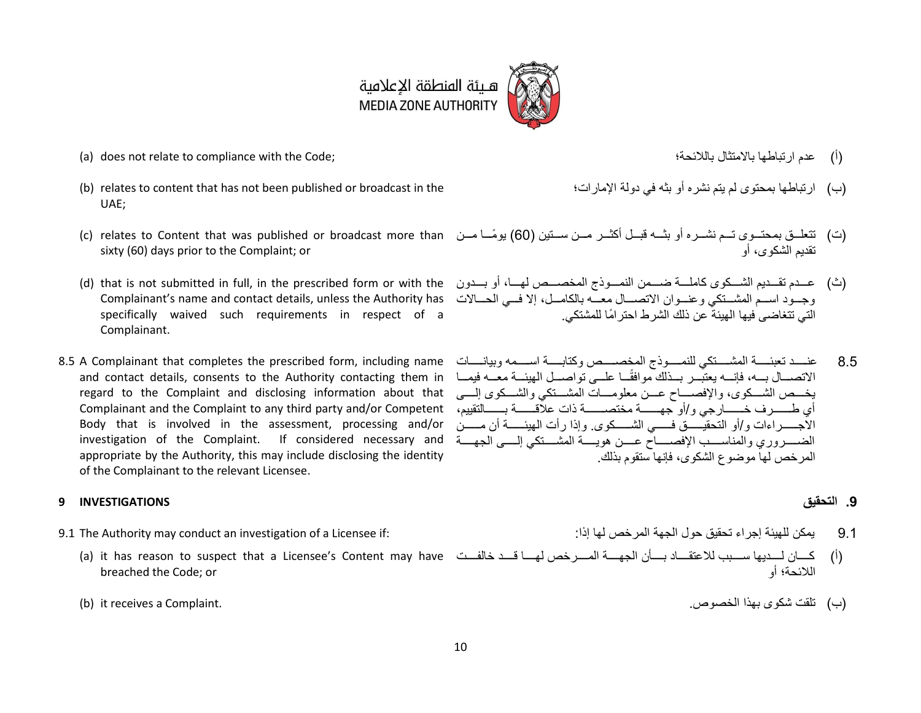

- )أ( عر تب ط ب ت ب لال ؛ ;Code the with compliance to relate not does) a(
- (b) relates to content that has not been published or broadcast in the UAE;
- sixty (60) days prior to the Complaint; or
- Complainant's name and contact details, unless the Authority has specifically waived such requirements in respect of a Complainant.
- 8.5 A Complainant that completes the prescribed form, including name and contact details, consents to the Authority contacting them in regard to the Complaint and disclosing information about that أي طـــــــــرف خـــــــارجي و/أو جهــــــــة مختصـــــــــة ذات علاقـــــــة بــــــالتقييم، Complainant and the Complaint to any third party and/or Competent Body that is involved in the assessment, processing and/or investigation of the Complaint. If considered necessary and appropriate by the Authority, this may include disclosing the identity of the Complainant to the relevant Licensee.

### <span id="page-9-0"></span>**.9 التحقيق INVESTIGATIONS 9**

- - breached the Code; or
	-
- 
- (ب) ار تباطها بمحتوى لم يتم نشر ه أو بثه في دولة الإمار ات؛
- (ت) تتعلّــق بمحتــوى تــم نشــره أو بثــه قبــل أكثــر مــن ســتين (60) بومًـــا مــن c) relates to Content that was published or broadcast more than تقديم الشكو ي، أو
- (ث) عــدم تقــديم الشــكوى كاملـــة ضـــمن النمـــوذج المخصـــص لهـــا، أو بـــدون d) that is not submitted in full, in the prescribed form or with the وجـود اســم المشــتكي وعنــوان الاتصـــال معـــه بالكامــل، إلا فــي الحـــالات التي تتغاضبي فيها الهيئة عن ذلك الشر ط احتر امًا للمشتكي.
	- 8.5 عنــــد تعبئـــــة المشـــــتكي للنمــــو ذج المخصـــــص وكتابـــــة اســــمه وبيانـــــات لاتصـــال بـــه، فإنــــه يعتبـــر بـــذلك موافقًـــا علـــى تواصـــل الهيئـــة معـــه فيمـــا يخــص الشــكوي، والإفصـــاح عـــن معلومـــات المشـــتكي والشـــكوي إلــــي ررررررررر وخأو لت قيررررررررر فررررررررري لشررررررررروو . وإت أ ل ي ررررررررر أ ررررررررر الضب روري والمناسب الإفصباح عسن هويسة المشبتكي إلسي الجهسة المر خص لها موضوع الشكوى، فإنها ستقوم بذلك.

- 9.1 ي و ل ي إ ت قي و ل ل خص ل إت : :if Licensee a of investigation an conduct may Authority The 9.1
	- (أ) كــــان لــــديها ســـــبب للاعتقــــاد بــــأن الجهــــة المــــرخص لهــــا قـــد خالفــــت a) it has reason to suspect that a Licensee's Content may have اللائحة؛ أو
	- )ب( ت ق شوو ب ت لخصوص. .Complaint a receives it) b(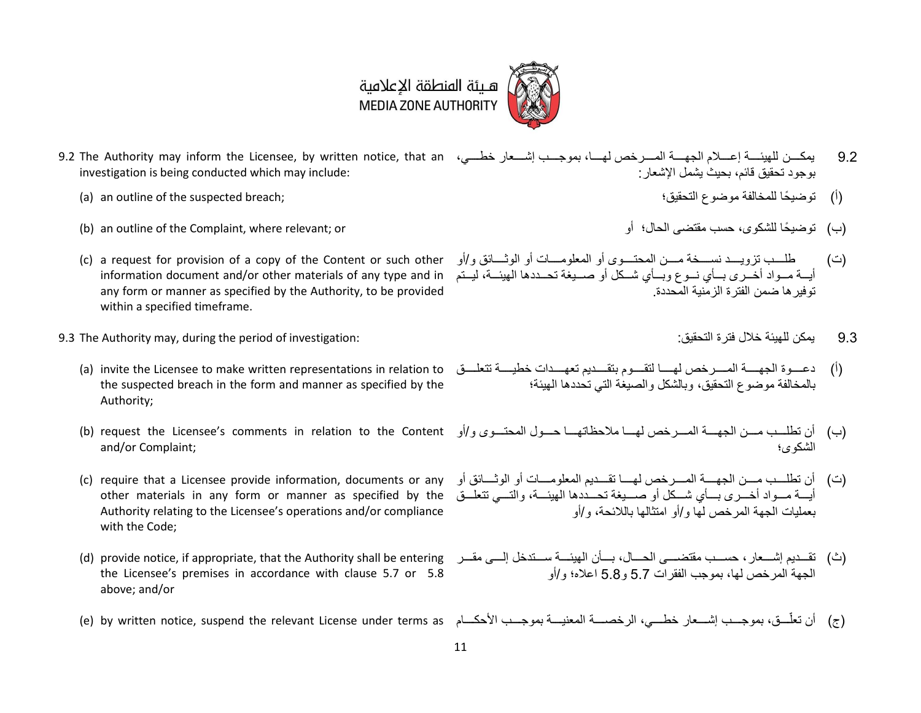## هـيئة المنطقة الإعلامية **MEDIA ZONE AUTHORITY**

- 9.2 يمكـــن للهيئــــة إعــــلام الجهــــة المــــرخص لهــــا، بموجـــب إشــــعار خطـــي، 9.1 3.1 The Authority may inform the Licensee, by written notice, that an investigation is being conducted which may include: بو جو د تحقيق قائم، بحيث يشمل الإشعار :
	- (a) an outline of the suspected breach; (أ) توضيحًا للمخالفة موضوع التحقيق؛
	- )ب( توضي ل شوو ، سن قتض، ل ؛ أو or; relevant where ,Complaint the of outline an) b(
	- (c) a request for provision of a copy of the Content or such other any form or manner as specified by the Authority, to be provided within a specified timeframe.
- 9.1 ي و ل ي خال فت ة لت قي : :investigation of period the during ,may Authority The 9.3
	- the suspected breach in the form and manner as specified by the Authority;
	- and/or Complaint;
	- (c) require that a Licensee provide information, documents or any other materials in any form or manner as specified by the Authority relating to the Licensee's operations and/or compliance with the Code;
	- the Licensee's premises in accordance with clause [5.7](#page-6-0) or [5.8](#page-7-0) above; and/or
	-
- 
- 
- أيسة مــواد أخــرى بــأي نــوع وبــأي شــكل أو صـــيغة تحــددها الهيئـــة، ليــتم information document and/or other materials of any type and in )ت( ط ررررررن تعويررررررر نسررررررخ رررررر ل تررررررو أو ل ع و رررررر أو لو رررررر وخأو توفير ها ضمن الفتر ة الز منية المحددة.
	-
- (أ) دعـــوة الجهــــة المــــرخص لهــــا لتقـــوم بتقـــديم تعهـــدات خطيــــة تتعلــــق a) invite the Licensee to make written representations in relation to بالمخالفة موضوع التحقيق، وبالشكل و الصيغة التي تحددها الهيئة؛
- (ب) أن تطلــب مـــن الجهــــة المـــرخص لهـــا ملاحظاتهـــا حـــول المحتـــوى و/أو p) request the Licensee's comments in relation to the Content) الشكوى؛
	- (ت) أن تطلَّــب مـــن الجهــــة المـــرخص لهـــا تقـــديم المعلومـــات أو الو ثـــائق أو أيسة مسواد أخسري بسأي شسكل أو صسيغة تحسددها الهيئسة، والتسي تتعلسق بعمليات الجهة المر خص لها و /أو امتثالها باللائحة، و /أو
- (ث) تقـــديم إشـــعار ، حســب مقتضــــى الحـــال، بـــأن الهيئـــة ســـتدخل إلــــى مقـــر a) provide notice, if appropriate, that the Authority shall be entering الجهة المر خص لها، بموجب الفقر ات 5.7 و 5.8 اعلاه؛ و /أو
- (ج) أن تعلّـــق، بموجـــب إشـــعار خطـــي، الرخصــــة المعنيـــة بموجـــب الأحكـــام (e) by written notice, suspend the relevant License under terms as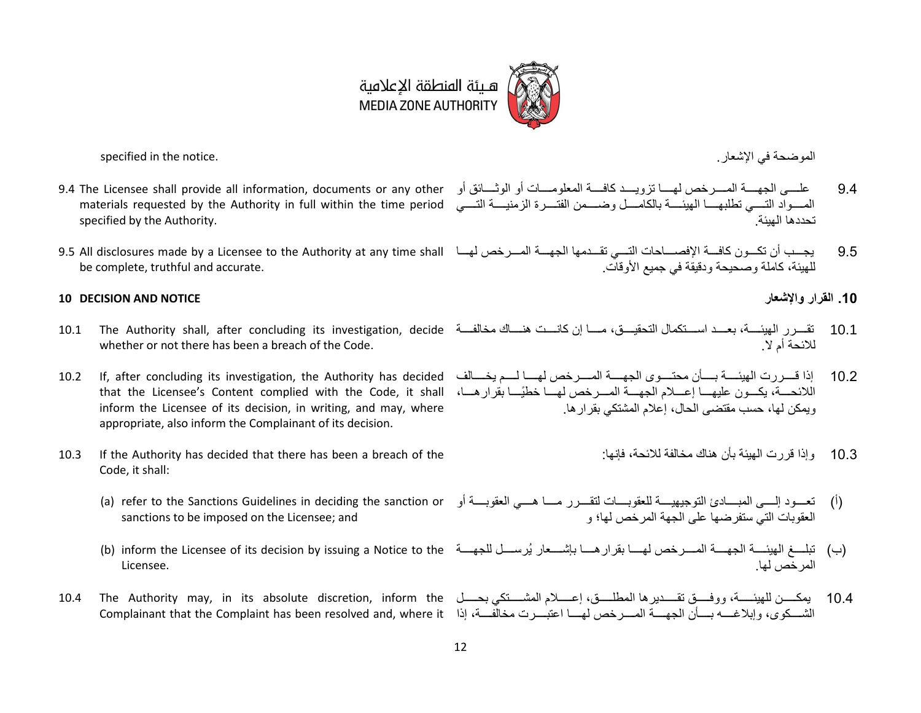

ل وض في شع . .notice the in specified

- specified by the Authority.
- be complete, truthful and accurate.

### **10 DECISION AND NOTICE واإلشعار القرار .10**

- whether or not there has been a breach of the Code.
- inform the Licensee of its decision, in writing, and may, where appropriate, also inform the Complainant of its decision.
- 10.3 If the Authority has decided that there has been a breach of the Code, it shall:
	- sanctions to be imposed on the Licensee; and
	- Licensee.
- 

- 9.4 The Licensee shall provide all information, documents or any other 9.4 ع رررررر، ل رررررر ل رررررر خص ل رررررر تعويررررررر و فرررررر ل ع و رررررر أو لو رررررر أو المســواد التـــــي تطلبهـــــا المهيئـــــة بالكامــــل وضـــــمن الفتــــرة الزمنيــــة التـــــي materials requested by the Authority in full within the time period تحددها الـمئة
- 9.5 يجــب أن تكــون كافـــة الإفصــــاحات التـــي تقـــدمها الجهـــة المـــرخص لهـــا 10.5 All disclosures made by a Licensee to the Authority at any time shall للهيئة، كاملة و صحيحة و دقيقة في جميع الأو قات.
	-
- 10.1 تقـــرر الهيئــــة، بعـــد اســـتكمال التحقيـــق، مــــا إن كانـــت هنــــاك مخالفـــة عندان منافـــة م الفرررررر الميئــــة، بعـــد اســـتكمال التحقيـــق، مــــا إن كانـــت هنــــاك مخالفـــة للائحة أم لا .
- <span id="page-11-0"></span>10.2 If, after concluding its investigation, the Authority has decided 10.2 إت رررررر ل ي رررررر برررررر تررررررو ل رررررر ل رررررر خص ل رررررر لرررررر يخرررررر ل اللائحـــة، يكـــون عليهــــا إعــــلام الجهــــة المــــرخص لهــــا خطيًــــا بقرار هــــا، that the Licensee's Content complied with the Code, it shall ويمكن لها، حسب مقتضى الحال، إعلام المشتكى بقر ار ها .
	- 10.3 وإذا قررت الهيئة بأن هناك مخالفة للائحة، فإنها:
	- (أ) تعـــود إلــــي المبــــادئ التوجيهيـــــة للعقوبــــات لتقــــرر مــــا هــــي العقوبـــــة أو a) refer to the Sanctions Guidelines in deciding the sanction or العقوبات التي ستفرضها على الجهة المرخص لها؛ و
	- (ب) تبلـــغ الهيئــــة الجهــــة المــــرخص لهــــا بقرار هــــا بإشــــعار يُرســــل للجهــــة (b) inform the Licensee of its decision by issuing a Notice to the المر خص لها.
- 10.4 يمكـــــن للهيئـــــة، ووفـــــق تقـــــديرها المطلـــــق، إعـــــلام المشـــــنكي بحـــــل 10.4 The Authority may, in its absolute discretion, inform the الشـــكوى، وإبلاغــــه بــــأن الجهـــــة المــــررخص لهــــا اعتبــــرت مخالفــــة، إذا Complainant that the Complaint has been resolved and, where it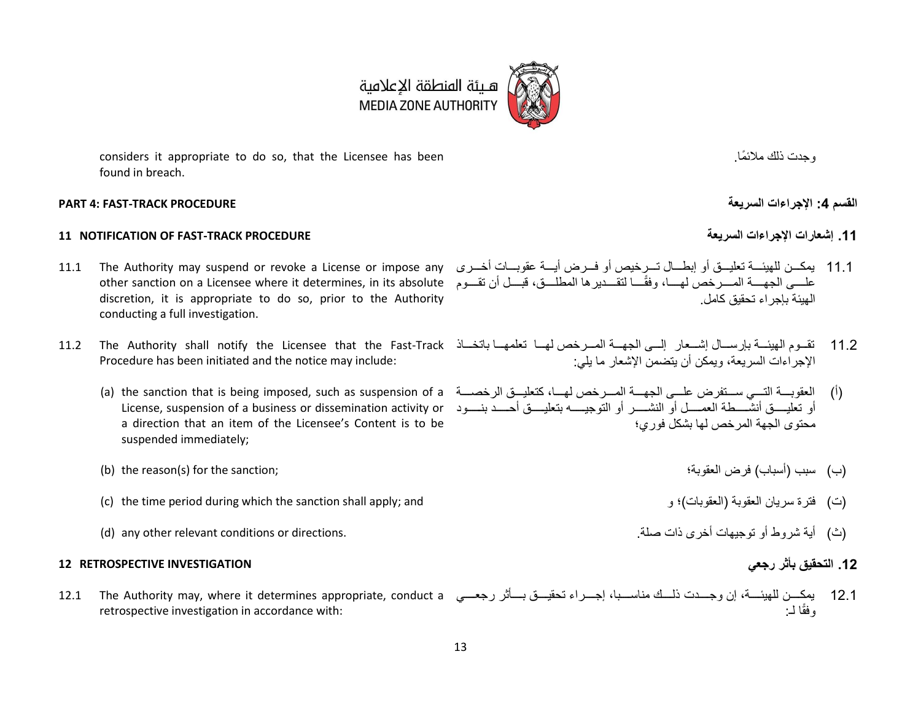considers it appropriate to do so, that the Licensee has been found in breach.

#### **PART 4: FAST-TRACK PROCEDURE السريعة اإلجراءات :4 القسم**

### <span id="page-12-0"></span>**11 NOTIFICATION OF FAST-TRACK PROCEDURE السريعة اإلجراءات إشعارات .11**

- <span id="page-12-1"></span>11.1 يمكــن للهيئـــة تعليـــق أو إبطـــال تـــرخيص أو فـــرض أيـــة عقوبـــات أخـــررى The Authority may suspend or revoke a License or impose any علـــى الجهــــة المــــرخص لهــــا، وفقًـــا لتقـــدير ها المطلـــق، قبـــل أن تقـــوم other sanction on a Licensee where it determines, in its absolute discretion, it is appropriate to do so, prior to the Authority conducting a full investigation.
- Procedure has been initiated and the notice may include:
	- a direction that an item of the Licensee's Content is to be suspended immediately;
	- )ب( سبن أسب ن( ف لعقوب ؛ ;sanction the for) s(reason the) b(
	- (c) the time period during which the sanction shall apply; and (ت) فترة سريان العقوبة (العقوبات)؛ و العقوبات)
	- )ث( أي ش وط أو تو ي أخ ت ص . .directions or conditions relevant other any) d(

### **.12 التحقيق بأثر رجعي INVESTIGATION RETROSPECTIVE 12**

retrospective investigation in accordance with:

- الميئة بإجر اء تحقيق كامل.
- 11.2 تقــوم الهيئـــة بإرســـال إشـــعار إلـــي الجهـــة المـــرخص لهـــا تعلمهـــا باتخـــاذ 11.2 The Authority shall notify the Licensee that the Fast-Track الإجر إءات السريعة، ويمكن أن يتضمن الإشعار ما يلي:
	- (أ) العقوبــــة التــــي ســـتفرـض علــــي الجهــــة المــــرخص لهـــا، كتعليـــق الرخصــــة a) the sanction that is being imposed, such as suspension of a أو تعليســق أنشــــطة العمــــل أو النشــــرر أو التوجيـــــه بتعليــــق أحــــد بنــــود License, suspension of a business or dissemination activity or محتوى الجهة المرخص لها بشكل فوري؛
		-
		-
		-

12.1 يمكـــن للهيئــــة، إن وجــــدت ذلـــك مناســـبا، إجـــراء تحقيـــق بــــأثر رجعـــي 12.1 The Authority may, where it determines appropriate, conduct a لـ: وفق

هــيئة المنطقة الإعلامية<br>MEDIA ZONE AUTHORITY

، حدت ذلك ملائمًا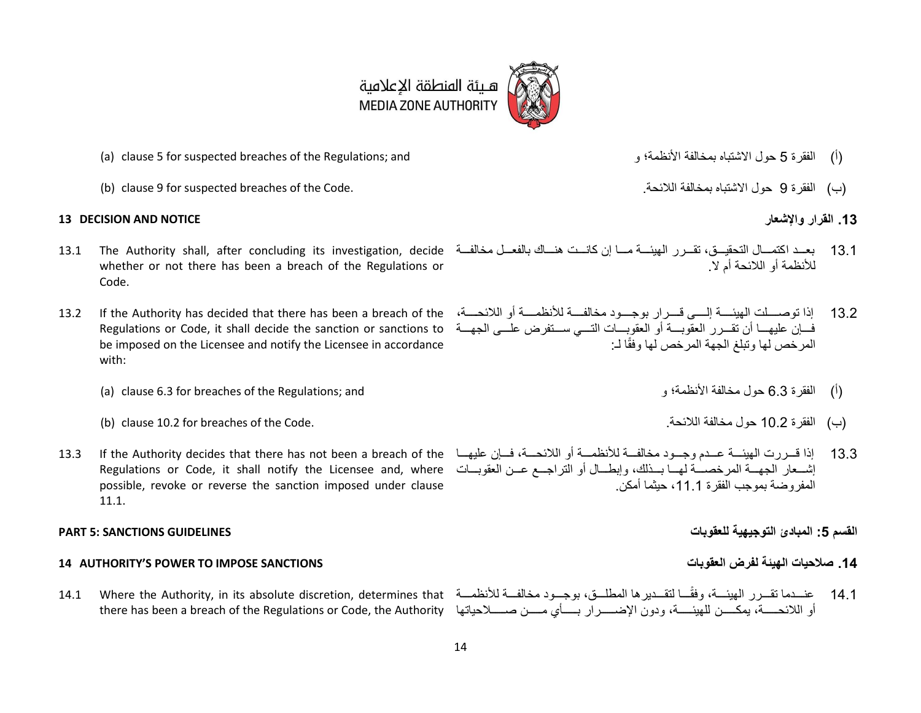

- (أ) الفقر ة [5](#page-5-0) حول الاشتباه بمخالفة الأنظمة؛ و a) clause 5 for suspected breaches of the Regulations; and
- )ب( لفق ة 9 و شتب ب خ لف لال . .Code the of breaches suspected for [9](#page-9-0) clause) b(

#### **13 DECISION AND NOTICE واإلشعار القرار .13**

- whether or not there has been a breach of the Regulations or Code.
- Regulations or Code, it shall decide the sanction or sanctions to be imposed on the Licensee and notify the Licensee in accordance with:
	- (i) الفقرة [6.3](#page-7-1) حول مخالفة الأنظمة؛ و 6.1 (a) clause 6.3 for breaches of the Regulations; and
	- )ب( لفق ة 10.2 و خ لف لال . .Code the of breaches for [10.2](#page-11-0) clause) b(
- possible, revoke or reverse the sanction imposed under clause [11.1.](#page-12-1)

### **14 AUTHORITY'S POWER TO IMPOSE SANCTIONS العقوبات لفرض الهيئة الحيات .14**

- 
- 

- 13.1 بعــد اكتمـــال التحقيـــق، تقــرر الـهيئـــة مـــا إن كانـــت هنـــاك بالفعــل مخالفــة 13.1 The Authority shall, after concluding its investigation, decide للأنظمة أو اللائحة أم لا .
- 13.2 إذا توصــــلت الهيئـــــة إلـــــى قـــــرار بوجــــود مخالفــــة للأنظمــــة أو اللائحــــة، I3.2 If the Authority has decided that there has been a breach of the فسان عليهسا أن تقسر ر العقوبسة أو العقوبسات التسبي سستفرض علسي الجهسة المر خص لها وتبلغ الجهة المر خص لها وفقًا لـ:
	- -
- 13.3 إذا قـــررت الميئــــة عـــدم وجـــود مخالفـــة للأنظمـــة أو اللائحـــة، فـــإن عليهـــا 13.6 13.3 13.3 13.3 13.3 13.3 13.3 13.3 13.3 13.3 13 إشــعار الجهـــة المرخصـــة لهـــا بـــذلك، وإبطـــال أو التراجـــع عـــن العقوبـــات Regulations or Code, it shall notify the Licensee and, where المفر و ضبة بموجب الفقر ة 1 11، حيثما أمكن

#### **القسم :5 المبادئ التوجيهية للعقوبات GUIDELINES SANCTIONS 5: PART**

14.1 عنـــدما تقــرر الهيئـــة، وفقًـــا لتقــديرها المطلـــق، بوجـــود مخالفـــة للأنظمـــة 14.1 Where the Authority, in its absolute discretion, determines that أو اللائحـــــة، يمكـــــن للهيئـــــة، ودون الإضــــــرار بـــــأي مـــــن صـــــلاحياتها there has been a breach of the Regulations or Code, the Authority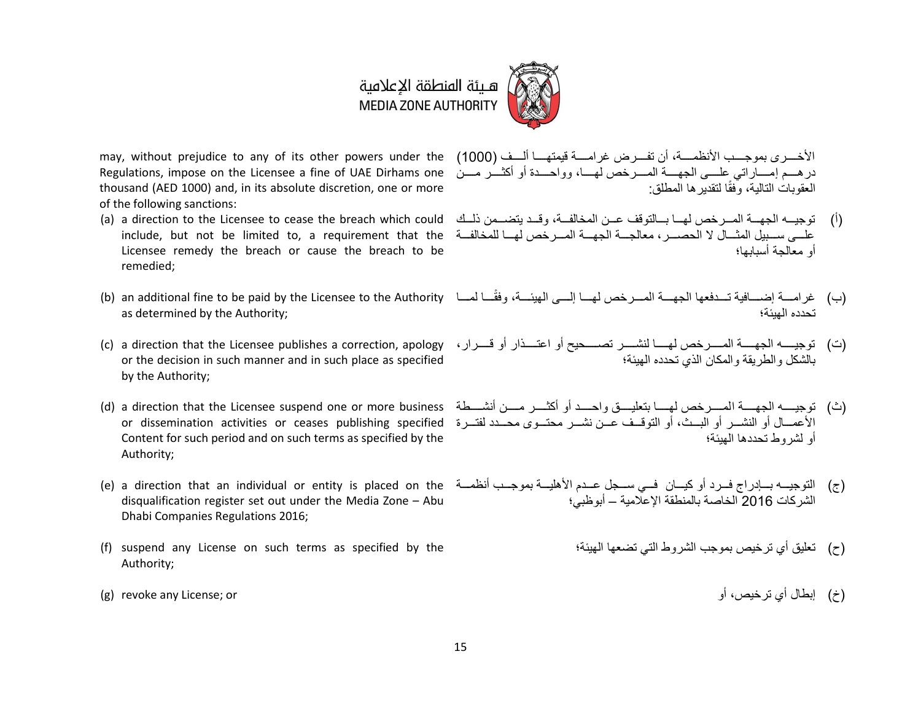

Regulations, impose on the Licensee a fine of UAE Dirhams one thousand (AED 1000) and, in its absolute discretion, one or more of the following sanctions:

- include, but not be limited to, a requirement that the Licensee remedy the breach or cause the breach to be remedied;
- as determined by the Authority;
- or the decision in such manner and in such place as specified by the Authority;
- Content for such period and on such terms as specified by the Authority;
- disqualification register set out under the Media Zone Abu Dhabi Companies Regulations 2016;
- (f) suspend any License on such terms as specified by the Authority;
- 

may, without prejudice to any of its other powers under the (1000) الأخــــــرى بموجــــب الأنظمــــة، أن تفــــرض غرامــــة قيمتهــــا ألــــف (1000) در هــم إمــــاراتي علـــي الجهــــة المــــرخص لهــــا، وواحــــدة أو أكثــــر مـــن العقوبات التالية، وْفقًا لتقدير ها المطلق:

- (أ) توجيــه الجهـــة المـــرخص لهـــا بـــالتوقف عـــن المخالفـــة، وقــد يتضـــمن ذلــك (a) a direction to the Licensee to cease the breach which could علي سبيبل المثبال لا الحصير ، معالجية الجهية المبر خص لهيا للمخالفية أو معالجة أسبابها؛
- (ب) غرامــــة إضــــافية تــــدفعها الجهــــة المــــرخص لهــــا (b) an additional fine to be paid by the Licensee to the Authority) تحدده المشة؛
- (ت) توجيسه الجهســة المســرخص لهســا لنشــــر تصـــــحيح أو اعتــــذار أو قــــرار ، (c) a direction that the Licensee publishes a correction, apology بالشكل و الطر بقة و المكان الذي تحدده الهيئة؛
- (ث) توجيسه الجهســة المســرخص لهســا بتعليــــق واحســد أو أكثــــر مســن أنشــــطة (d) a direction that the Licensee suspend one or more business الأعمـــال أو النشـــر أو البـــث، أو التوقــف عـــن نشـــر محتـــوى محـــدد لفتـــررة or dissemination activities or ceases publishing specified أو لشر وط تحددها الهيئة؛
- (ج) التوجيــه بــإدراج فــرد أو كيــان فــي ســجل عــدم الأهليــة بموجــب أنظمــة e) a direction that an individual or entity is placed on the) الشركات 2016 الخاصة بالمنطقة الإعلامية – أبوظبي؛
	- (ح) تعليق أي تر خيص بمو جب الشر و ط التي تضعها الـهيئة؛
- )خ( إبط أج ت خيص، أو or; License any revoke) g(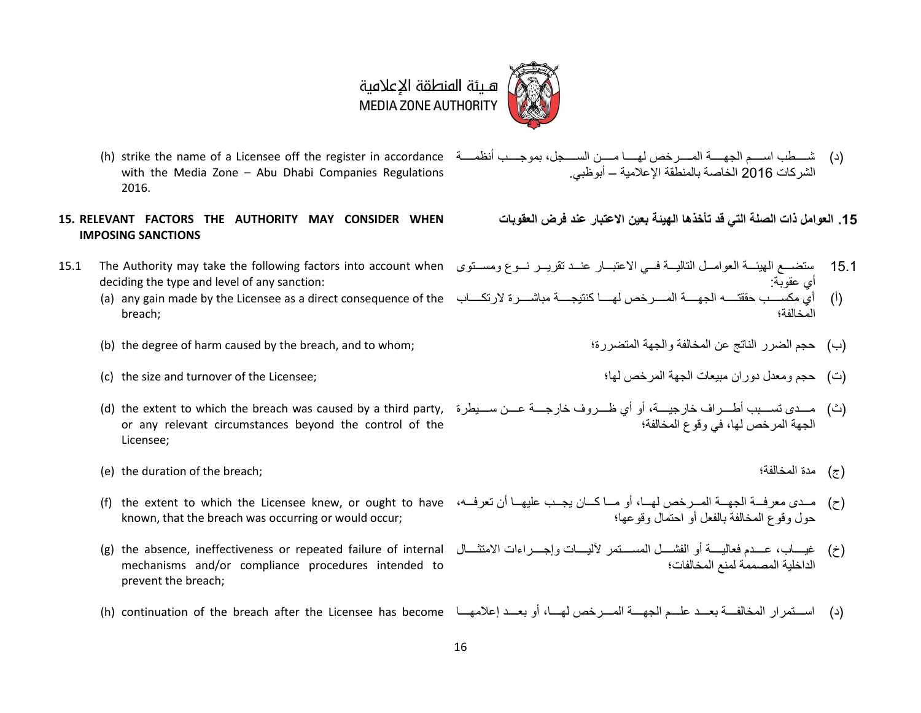

- with the Media Zone Abu Dhabi Companies Regulations 2016.
- **15. RELEVANT FACTORS THE AUTHORITY MAY CONSIDER WHEN IMPOSING SANCTIONS**
- deciding the type and level of any sanction:
	- breach;
	- )ب( لض لن تج ع ل خ لف و ل ل تض ة؛ ;whom to and ,breach the by caused harm of degree the) b(
	-
	- or any relevant circumstances beyond the control of the Licensee;
	- )ج( رة ل خ لف ؛ ;breach the of duration the) e(
	- (ح) مــدى معرفــة الجهــة المــرخص لهــا، أو مــا كــان يجــب عليهــا أن تعرفــه، The extent to which the Licensee knew, or ought to have (أ known, that the breach was occurring or would occur;
	- mechanisms and/or compliance procedures intended to prevent the breach;
	- (د) استمرار المخالفة بعبد عليم الجهية المسرخص لهيا، أو بعبد إعلامهيا h) continuation of the breach after the Licensee has become)
- (د) شــــطب اســــم الجهـــــة المـــــرخص لهـــــا مـــــن الســــجل، بموجــــب أنظمــــة arike the name of a Licensee off the register in accordance (أد) الشر كات 2016 الخاصة بالمنطقة الإعلامية – أبوظبي.
	- 15. العوامل ذات الصلة الت*ي* قد تأخذها الهيئة بعين الاعتبار عند فرض العقوبات
- 15.1 ستضــع المهيئـــة العوامـــل التاليـــة فـــي الاعتبـــار عنـــد تقريـــر نـــوع ومســتوى 15.1 10<br>15.1 ستضـــع المهيئـــة العوامـــل التاليـــة فـــي الاعتبـــار عنـــد تقريـــر نـــوع ومســتوى menity أي عقوبة:
	- (أ) أي مكســـب حققتــــه الجهــــة المـــــررخص لهـــــا كنتيجــــة مباشــــررة لارتكــــاب a) any gain made by the Licensee as a direct consequence of the المخالفة؛
		-
	- )ت( و عر رو بيع ل ل خص ل ؛ ;Licensee the of turnover and size the) c(
	- (ث) مـــدى تســـبب أطـــرراف خارجيـــة، أو أي ظـــرروف خارجــــة عـــن ســـيطرة ,d) the extent to which the breach was caused by a third party, (ش) الحقة المر خص لها، في وقوع المخالفة؛
		-
		- حول و قو ع المخالفة بالفعل أو احتمال و قو عها؛
	- (خ) غيسـاب، عــــدم فعاليســة أو الفشــــل الممســـتمر لأليســات وإجــــراءات الامتثــــال [g) the absence, ineffectiveness or repeated failure of internal الداخلية المصممة لمنع المخالفات؛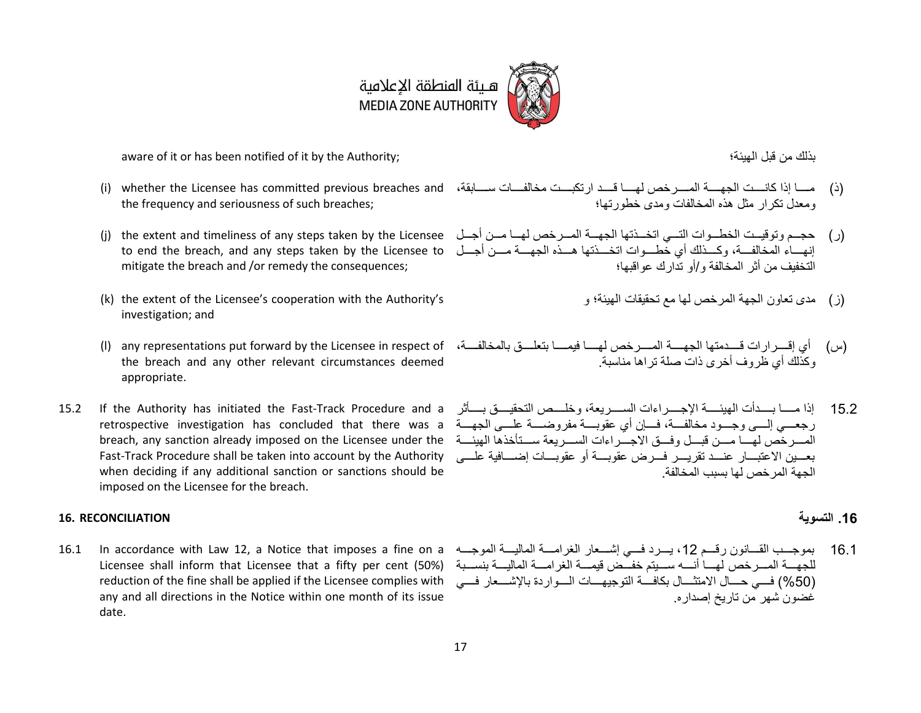هـيئة المنطقة الإعلامية **MEDIA ZONE AUTHORITY** 

aware of it or has been notified of it by the Authority; ؛ ي ل ب بتلر

- the frequency and seriousness of such breaches;
- mitigate the breach and /or remedy the consequences;
- (k) the extent of the Licensee's cooperation with the Authority's investigation; and
- the breach and any other relevant circumstances deemed appropriate.
- breach, any sanction already imposed on the Licensee under the Fast-Track Procedure shall be taken into account by the Authority when deciding if any additional sanction or sanctions should be imposed on the Licensee for the breach.

### **.16 التسوية RECONCILIATION 16.**

Licensee shall inform that Licensee that a fifty per cent (50%) reduction of the fine shall be applied if the Licensee complies with any and all directions in the Notice within one month of its issue date.

- (ذ) مســا إذا كانــــت الجهــــة المــــرخص لهــــا قـــد ارتكبـــت مخالفــــات ســــابقة، (i) whether the Licensee has committed previous breaches and ومعدل تكرار مثل هذه المخالفات ومدى خطور تها؛
- (ر) حجــم وتوقيــت الخطــوات التـــى اتخـــذتها الجهـــة المـــرخص لهـــا مـــن أجــل (j) the extent and timeliness of any steps taken by the Licensee إنهـــاء المخالفـــة، وكـــذلك أي خطـــوات اتخـــذتها هـــذه الجهـــة مـــن أجـــل to end the breach, and any steps taken by the Licensee to التخفيف من أثر المخالفة و /أو تدار ك عو اقبها؛
	- (ز ) مدى تعاون الجهة المرخص لها مع تحقيقات الهيئة؛ و
- (س) أي إقــــرارات قــــدمتها الجهـــــة المـــــرخص لهـــــا فيمـــــا بتعلــــق بالمخالفــــة، (I) any representations put forward by the Licensee in respect of وكذلك أي ظر و ف أخر ي ذات صلة تر اها مناسبة
- 15.2 إذا مــــا بــــدأت الهيئـــــة الإجـــــراءات الســــريعة، وخلــــص التحقيـــق بــــأثر If the Authority has initiated the Fast-Track Procedure and a جعـــي إلـــي وجـــود مخالفـــة، فــــإن أي عقوبــــة مفروضــــة علــــي الجهـــة مretrospective investigation has concluded that there was a المسرخص لهسا مسن قبسل وفسق الاجسر اءات السسريعة سستأخذها الهيئسة بعسين الاعتبسار عنسد تقريسر فسرض عقوبسة أو عقوبسات إضسافية علسى الحمة المرخص لما يسبب المخالفة

16.1 بموجـــب القــــانون رقـــم 12، يـــرد فـــي إشــــعار الغرامــــة الماليــــة الموجــــه 16.1 In accordance with Law 12, a Notice that imposes a fine on a للجهـــة المـــر خص لهــــاً أنــــه ســـبتم خفـــُـض قبمـــة الغر امــــة المالبـــة بنســـبة (50%) فسي حسال الامتثـــال بكافــــة التوجيهــــات الــــواردة بالإشــــعار فــــي غضو ن شهر ٍ من تار يخ إصدار ه.